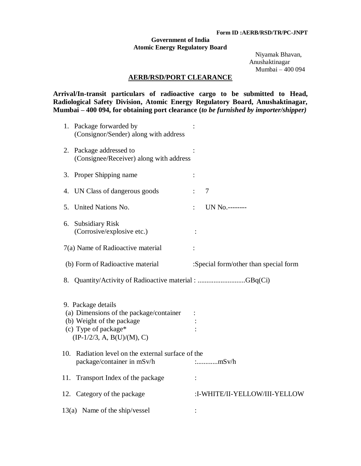## **Form ID :AERB/RSD/TR/PC-JNPT**

## **Government of India Atomic Energy Regulatory Board**

 Niyamak Bhavan, Anushaktinagar Mumbai – 400 094

## **AERB/RSD/PORT CLEARANCE**

**Arrival/In-transit particulars of radioactive cargo to be submitted to Head, Radiological Safety Division, Atomic Energy Regulatory Board, Anushaktinagar, Mumbai – 400 094, for obtaining port clearance (***to be furnished by importer/shipper)*

|     | 1. Package forwarded by<br>(Consignor/Sender) along with address                                                                                   |                                       |
|-----|----------------------------------------------------------------------------------------------------------------------------------------------------|---------------------------------------|
|     | 2. Package addressed to<br>(Consignee/Receiver) along with address                                                                                 |                                       |
|     | 3. Proper Shipping name                                                                                                                            |                                       |
|     | 4. UN Class of dangerous goods                                                                                                                     | 7                                     |
| 5.  | United Nations No.                                                                                                                                 | UN No.--------                        |
|     | 6. Subsidiary Risk<br>(Corrosive/explosive etc.)                                                                                                   |                                       |
|     | 7(a) Name of Radioactive material                                                                                                                  |                                       |
|     | (b) Form of Radioactive material                                                                                                                   | :Special form/other than special form |
|     |                                                                                                                                                    |                                       |
|     | 8. Quantity/Activity of Radioactive material : GBq(Ci)                                                                                             |                                       |
|     | 9. Package details<br>(a) Dimensions of the package/container<br>(b) Weight of the package<br>(c) Type of package*<br>$(IP-1/2/3, A, B(U)/(M), C)$ |                                       |
|     | 10. Radiation level on the external surface of the<br>package/container in mSv/h                                                                   |                                       |
| 11. | Transport Index of the package                                                                                                                     |                                       |
|     | 12. Category of the package                                                                                                                        | :I-WHITE/II-YELLOW/III-YELLOW         |
|     | $13(a)$ Name of the ship/vessel                                                                                                                    |                                       |